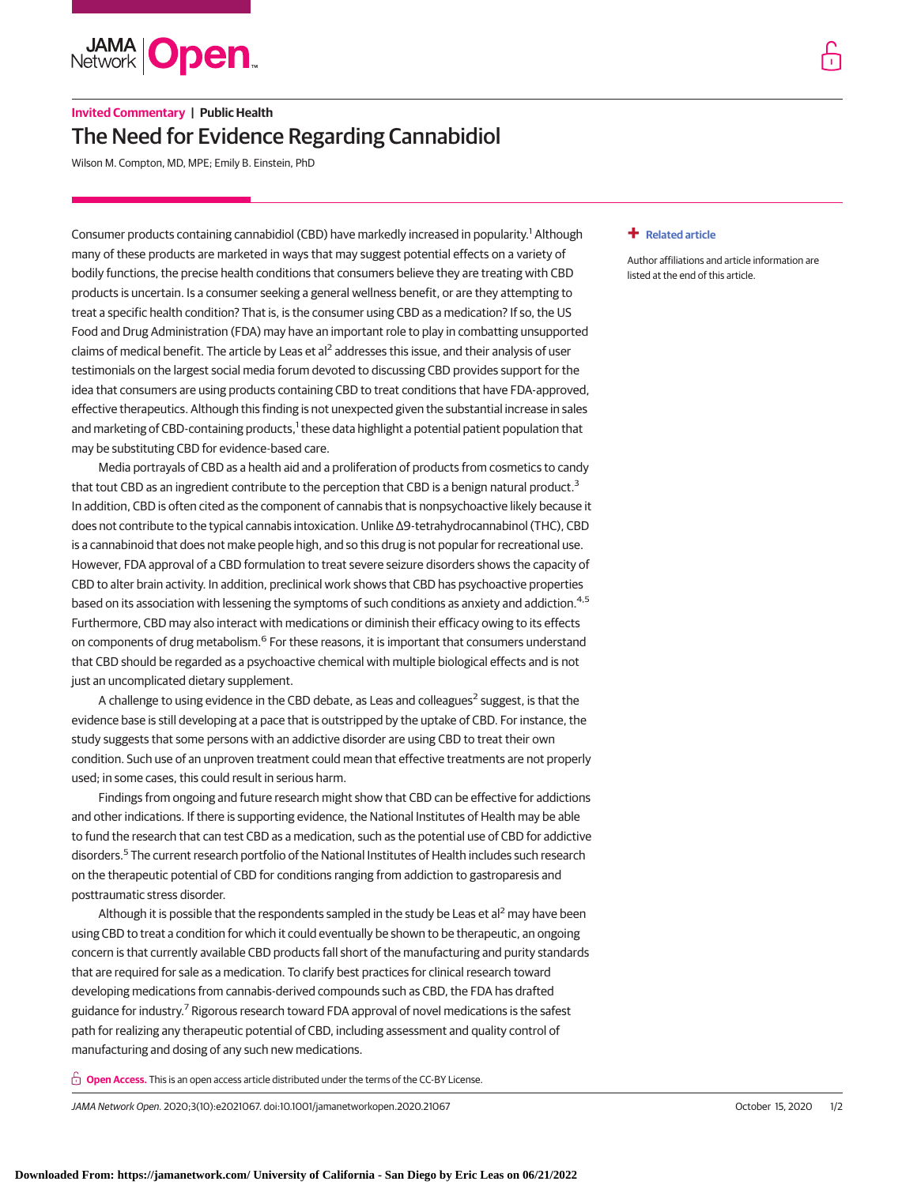

# **Invited Commentary | Public Health** The Need for Evidence Regarding Cannabidiol

Wilson M. Compton, MD, MPE; Emily B. Einstein, PhD

Consumer products containing cannabidiol (CBD) have markedly increased in popularity.<sup>1</sup> Although many of these products are marketed in ways that may suggest potential effects on a variety of bodily functions, the precise health conditions that consumers believe they are treating with CBD products is uncertain. Is a consumer seeking a general wellness benefit, or are they attempting to treat a specific health condition? That is, is the consumer using CBD as a medication? If so, the US Food and Drug Administration (FDA) may have an important role to play in combatting unsupported claims of medical benefit. The article by Leas et al<sup>2</sup> addresses this issue, and their analysis of user testimonials on the largest social media forum devoted to discussing CBD provides support for the idea that consumers are using products containing CBD to treat conditions that have FDA-approved, effective therapeutics. Although this finding is not unexpected given the substantial increase in sales and marketing of CBD-containing products,<sup>1</sup> these data highlight a potential patient population that may be substituting CBD for evidence-based care.

Media portrayals of CBD as a health aid and a proliferation of products from cosmetics to candy that tout CBD as an ingredient contribute to the perception that CBD is a benign natural product.<sup>3</sup> In addition, CBD is often cited as the component of cannabis that is nonpsychoactive likely because it does not contribute to the typical cannabis intoxication. Unlike Δ9-tetrahydrocannabinol (THC), CBD is a cannabinoid that does not make people high, and so this drug is not popular for recreational use. However, FDA approval of a CBD formulation to treat severe seizure disorders shows the capacity of CBD to alter brain activity. In addition, preclinical work shows that CBD has psychoactive properties based on its association with lessening the symptoms of such conditions as anxiety and addiction.<sup>4,5</sup> Furthermore, CBD may also interact with medications or diminish their efficacy owing to its effects on components of drug metabolism.<sup>6</sup> For these reasons, it is important that consumers understand that CBD should be regarded as a psychoactive chemical with multiple biological effects and is not just an uncomplicated dietary supplement.

A challenge to using evidence in the CBD debate, as Leas and colleagues<sup>2</sup> suggest, is that the evidence base is still developing at a pace that is outstripped by the uptake of CBD. For instance, the study suggests that some persons with an addictive disorder are using CBD to treat their own condition. Such use of an unproven treatment could mean that effective treatments are not properly used; in some cases, this could result in serious harm.

Findings from ongoing and future research might show that CBD can be effective for addictions and other indications. If there is supporting evidence, the National Institutes of Health may be able to fund the research that can test CBD as a medication, such as the potential use of CBD for addictive disorders.<sup>5</sup> The current research portfolio of the National Institutes of Health includes such research on the therapeutic potential of CBD for conditions ranging from addiction to gastroparesis and posttraumatic stress disorder.

Although it is possible that the respondents sampled in the study be Leas et al<sup>2</sup> may have been using CBD to treat a condition for which it could eventually be shown to be therapeutic, an ongoing concern is that currently available CBD products fall short of the manufacturing and purity standards that are required for sale as a medication. To clarify best practices for clinical research toward developing medications from cannabis-derived compounds such as CBD, the FDA has drafted guidance for industry.<sup>7</sup> Rigorous research toward FDA approval of novel medications is the safest path for realizing any therapeutic potential of CBD, including assessment and quality control of manufacturing and dosing of any such new medications.

**Open Access.** This is an open access article distributed under the terms of the CC-BY License.

JAMA Network Open. 2020;3(10):e2021067. doi:10.1001/jamanetworkopen.2020.21067 (Reprinted) October 15, 2020 1/2

## **+ [Related article](https://jama.jamanetwork.com/article.aspx?doi=10.1001/jamanetworkopen.2020.20977&utm_campaign=articlePDF%26utm_medium=articlePDFlink%26utm_source=articlePDF%26utm_content=jamanetworkopen.2020.21067)**

Author affiliations and article information are listed at the end of this article.